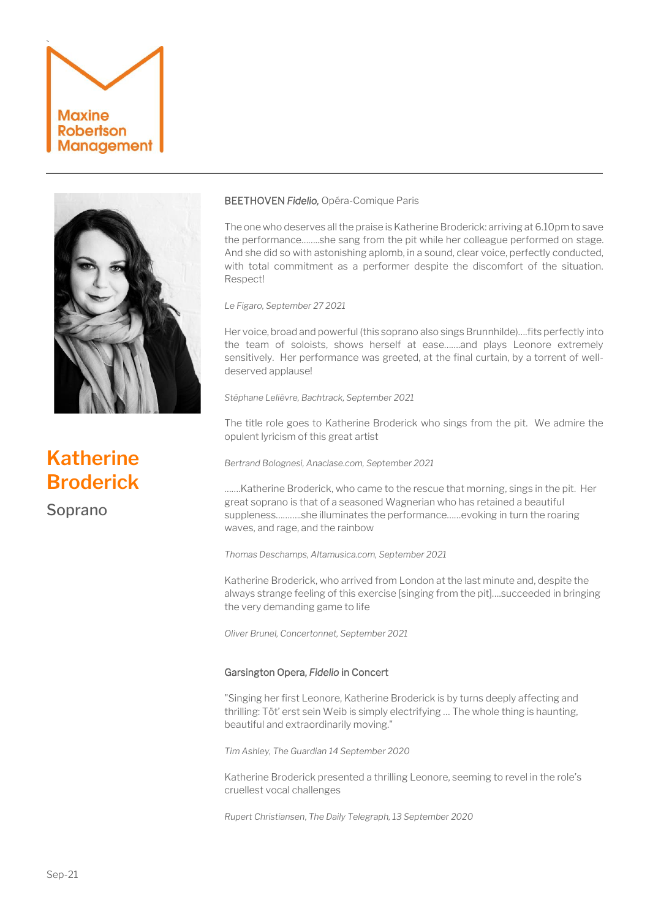



# **Katherine Broderick**

Soprano

# BEETHOVEN *Fidelio,* Opéra-Comique Paris

The one who deserves all the praise is Katherine Broderick: arriving at 6.10pm to save the performance……..she sang from the pit while her colleague performed on stage. And she did so with astonishing aplomb, in a sound, clear voice, perfectly conducted, with total commitment as a performer despite the discomfort of the situation. Respect!

*Le Figaro, September 27 2021*

Her voice, broad and powerful (this soprano also sings Brunnhilde)….fits perfectly into the team of soloists, shows herself at ease…….and plays Leonore extremely sensitively. Her performance was greeted, at the final curtain, by a torrent of welldeserved applause!

*Stéphane Lelièvre, Bachtrack, September 2021*

The title role goes to Katherine Broderick who sings from the pit. We admire the opulent lyricism of this great artist

*Bertrand Bolognesi, Anaclase.com, September 2021*

…….Katherine Broderick, who came to the rescue that morning, sings in the pit. Her great soprano is that of a seasoned Wagnerian who has retained a beautiful suppleness………..she illuminates the performance……evoking in turn the roaring waves, and rage, and the rainbow

*Thomas Deschamps, Altamusica.com, September 2021*

Katherine Broderick, who arrived from London at the last minute and, despite the always strange feeling of this exercise [singing from the pit]….succeeded in bringing the very demanding game to life

*Oliver Brunel, Concertonnet, September 2021*

# Garsington Opera, *Fidelio* in Concert

"Singing her first Leonore, Katherine Broderick is by turns deeply affecting and thrilling: Töt' erst sein Weib is simply electrifying … The whole thing is haunting, beautiful and extraordinarily moving."

*Tim Ashley, The Guardian 14 September 2020*

Katherine Broderick presented a thrilling Leonore, seeming to revel in the role's cruellest vocal challenges

*Rupert Christiansen*, *The Daily [Telegraph,](https://www.telegraph.co.uk/opera/what-to-see/fidelio-garsington-opera-heart-warming-model-stage-covid-safe/) 13 September 2020*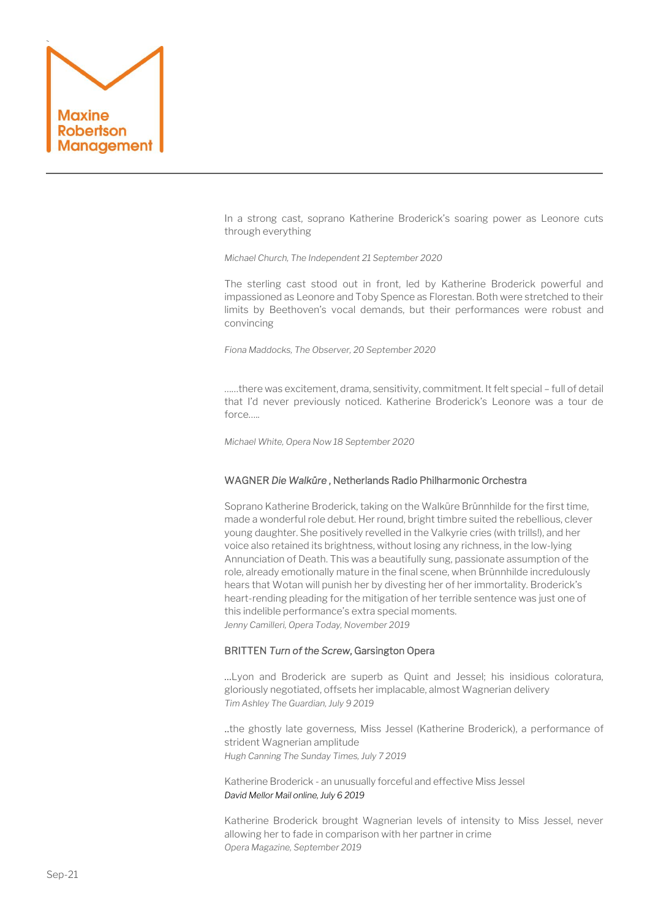

In a strong cast, soprano Katherine Broderick's soaring power as Leonore cuts through everything

*Michael Church, The Independent 21 September 2020*

The sterling cast stood out in front, led by Katherine Broderick powerful and impassioned as Leonore and Toby Spence as Florestan. Both were stretched to their limits by Beethoven's vocal demands, but their performances were robust and convincing

*Fiona Maddocks, The Observer, 20 September 2020* 

……there was excitement, drama, sensitivity, commitment. It felt special – full of detail that I'd never previously noticed. Katherine Broderick's Leonore was a tour de force…..

*Michael White, Opera Now 18 September 2020* 

## WAGNER *Die Walküre* , Netherlands Radio Philharmonic Orchestra

Soprano Katherine Broderick, taking on the Walküre Brünnhilde for the first time, made a wonderful role debut. Her round, bright timbre suited the rebellious, clever young daughter. She positively revelled in the Valkyrie cries (with trills!), and her voice also retained its brightness, without losing any richness, in the low-lying Annunciation of Death. This was a beautifully sung, passionate assumption of the role, already emotionally mature in the final scene, when Brünnhilde incredulously hears that Wotan will punish her by divesting her of her immortality. Broderick's heart-rending pleading for the mitigation of her terrible sentence was just one of this indelible performance's extra special moments. *Jenny Camilleri, Opera Today, November 2019*

## BRITTEN *Turn of the Screw*, Garsington Opera

…Lyon and Broderick are superb as Quint and Jessel; his insidious coloratura, gloriously negotiated, offsets her implacable, almost Wagnerian delivery *Tim Ashley The Guardian, July 9 2019*

..the ghostly late governess, Miss Jessel (Katherine Broderick), a performance of strident Wagnerian amplitude *Hugh Canning The Sunday Times, July 7 2019*

Katherine Broderick - an unusually forceful and effective Miss Jessel *David Mellor Mail online, July 6 2019* 

Katherine Broderick brought Wagnerian levels of intensity to Miss Jessel, never allowing her to fade in comparison with her partner in crime *Opera Magazine, September 2019*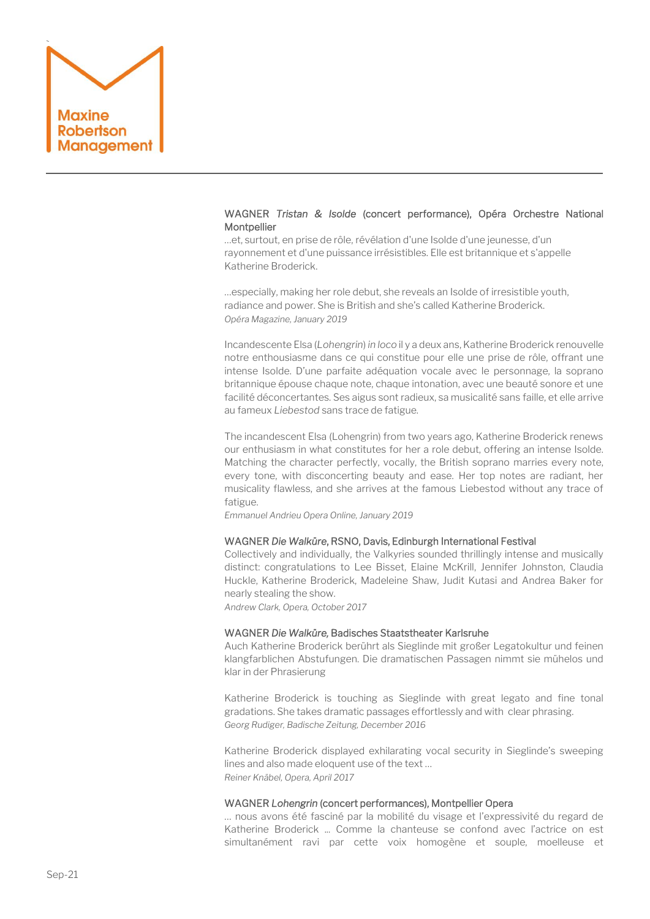

# WAGNER *Tristan & Isolde* (concert performance),Opéra Orchestre National **Montpellier**

…et, surtout, en prise de rôle, révélation d'une Isolde d'une jeunesse, d'un rayonnement et d'une puissance irrésistibles. Elle est britannique et s'appelle Katherine Broderick.

…especially, making her role debut, she reveals an Isolde of irresistible youth, radiance and power. She is British and she's called Katherine Broderick. *Opéra Magazine, January 2019*

Incandescente Elsa (*Lohengrin*) *in loco* il y a deux ans, Katherine Broderick renouvelle notre enthousiasme dans ce qui constitue pour elle une prise de rôle, offrant une intense Isolde. D'une parfaite adéquation vocale avec le personnage, la soprano britannique épouse chaque note, chaque intonation, avec une beauté sonore et une facilité déconcertantes. Ses aigus sont radieux, sa musicalité sans faille, et elle arrive au fameux *Liebestod* sans trace de fatigue.

The incandescent Elsa (Lohengrin) from two years ago, Katherine Broderick renews our enthusiasm in what constitutes for her a role debut, offering an intense Isolde. Matching the character perfectly, vocally, the British soprano marries every note, every tone, with disconcerting beauty and ease. Her top notes are radiant, her musicality flawless, and she arrives at the famous Liebestod without any trace of fatigue.

*Emmanuel Andrieu Opera Online, January 2019*

# WAGNER *Die Walküre*, RSNO, Davis, Edinburgh International Festival

Collectively and individually, the Valkyries sounded thrillingly intense and musically distinct: congratulations to Lee Bisset, Elaine McKrill, Jennifer Johnston, Claudia Huckle, Katherine Broderick, Madeleine Shaw, Judit Kutasi and Andrea Baker for nearly stealing the show.

*Andrew Clark, Opera, October 2017*

#### WAGNER *Die Walküre,* Badisches Staatstheater Karlsruhe

Auch Katherine Broderick berührt als Sieglinde mit großer Legatokultur und feinen klangfarblichen Abstufungen. Die dramatischen Passagen nimmt sie mühelos und klar in der Phrasierung

Katherine Broderick is touching as Sieglinde with great legato and fine tonal gradations. She takes dramatic passages effortlessly and with clear phrasing. *Georg Rudiger, Badische Zeitung, December 2016*

Katherine Broderick displayed exhilarating vocal security in Sieglinde's sweeping lines and also made eloquent use of the text … *Reiner Knäbel, Opera, April 2017*

#### WAGNER *Lohengrin* (concert performances), Montpellier Opera

… nous avons été fasciné par la mobilité du visage et l'expressivité du regard de Katherine Broderick ... Comme la chanteuse se confond avec l'actrice on est simultanément ravi par cette voix homogène et souple, moelleuse et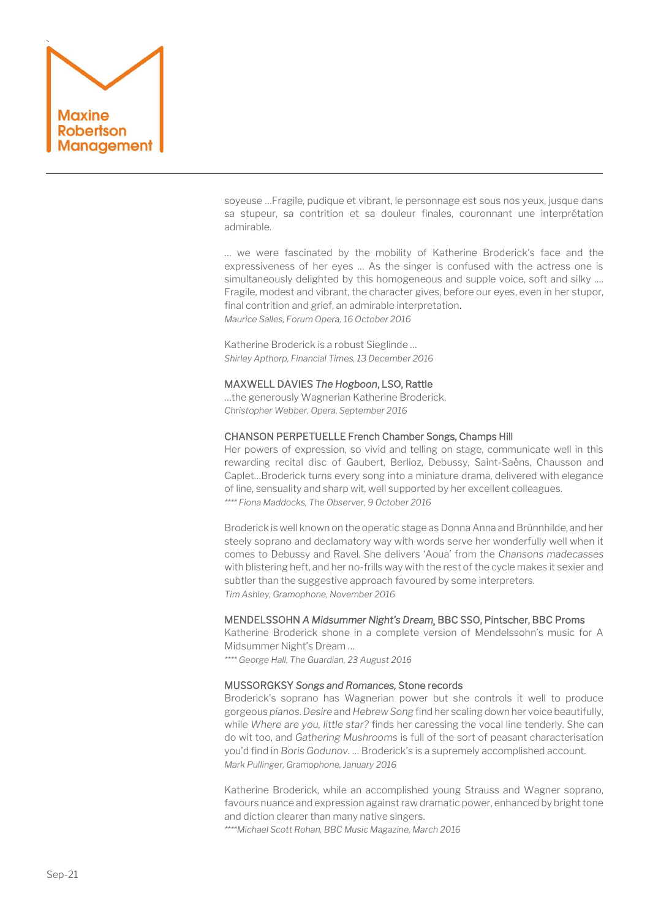

soyeuse …Fragile, pudique et vibrant, le personnage est sous nos yeux, jusque dans sa stupeur, sa contrition et sa douleur finales, couronnant une interprétation admirable.

… we were fascinated by the mobility of Katherine Broderick's face and the expressiveness of her eyes … As the singer is confused with the actress one is simultaneously delighted by this homogeneous and supple voice, soft and silky …. Fragile, modest and vibrant, the character gives, before our eyes, even in her stupor, final contrition and grief, an admirable interpretation. *Maurice Salles, Forum Opera, 16 October 2016*

Katherine Broderick is a robust Sieglinde … *Shirley Apthorp, Financial Times, 13 December 2016*

## MAXWELL DAVIES *The Hogboon*, LSO, Rattle

…the generously Wagnerian Katherine Broderick. *Christopher Webber, Opera, September 2016*

## CHANSON PERPETUELLE French Chamber Songs, Champs Hill

Her powers of expression, so vivid and telling on stage, communicate well in this [rewarding recital disc](http://www.champshillrecords.co.uk/cddetail.php?cat_number=CHRCD095) of Gaubert, Berlioz, Debussy, Saint-Saëns, Chausson and Caplet…Broderick turns every song into a miniature drama, delivered with elegance of line, sensuality and sharp wit, well supported by her excellent colleagues. *\*\*\*\* Fiona Maddocks, The Observer, 9 October 2016*

Broderick is well known on the operatic stage as Donna Anna and Brünnhilde, and her steely soprano and declamatory way with words serve her wonderfully well when it comes to Debussy and Ravel. She delivers 'Aoua' from the *Chansons madecasses*  with blistering heft, and her no-frills way with the rest of the cycle makes it sexier and subtler than the suggestive approach favoured by some interpreters. *Tim Ashley, Gramophone, November 2016*

## MENDELSSOHN *A Midsummer Night's Dream¸* BBC SSO, Pintscher, BBC Proms

Katherine Broderick shone in a complete version of Mendelssohn's music for A Midsummer Night's Dream …

*\*\*\*\* George Hall, The Guardian, 23 August 2016*

# MUSSORGKSY *Songs and Romances,* Stone records

Broderick's soprano has Wagnerian power but she controls it well to produce gorgeous *pianos*. *Desire* and *Hebrew Song* find her scaling down her voice beautifully, while *Where are you, little star?* finds her caressing the vocal line tenderly. She can do wit too, and *Gathering Mushrooms* is full of the sort of peasant characterisation you'd find in *Boris Godunov.* … Broderick's is a supremely accomplished account. *Mark Pullinger, Gramophone, January 2016*

Katherine Broderick, while an accomplished young Strauss and Wagner soprano, favours nuance and expression against raw dramatic power, enhanced by bright tone and diction clearer than many native singers.

*\*\*\*\*Michael Scott Rohan, BBC Music Magazine, March 2016*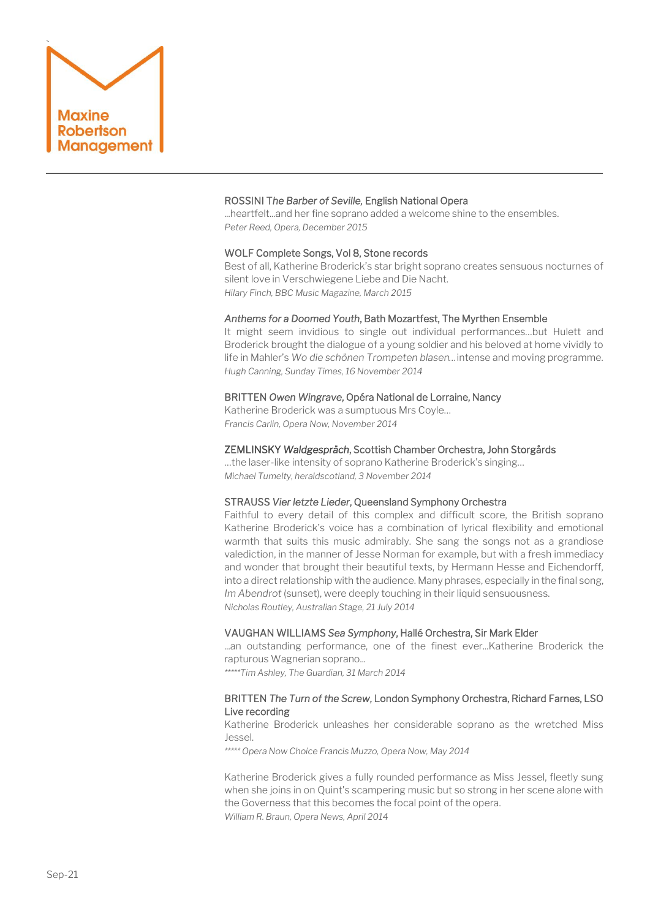

# ROSSINI T*he Barber of Seville,* English National Opera

...heartfelt...and her fine soprano added a welcome shine to the ensembles. *Peter Reed, Opera, December 2015*

#### WOLF Complete Songs, Vol 8, Stone records

Best of all, Katherine Broderick's star bright soprano creates sensuous nocturnes of silent love in Verschwiegene Liebe and Die Nacht. *Hilary Finch, BBC Music Magazine, March 2015*

## *Anthems for a Doomed Youth*, Bath Mozartfest, The Myrthen Ensemble

It might seem invidious to single out individual performances…but Hulett and Broderick brought the dialogue of a young soldier and his beloved at home vividly to life in Mahler's *Wo die schönen Trompeten blasen…*intense and moving programme. *Hugh Canning, Sunday Times, 16 November 2014*

#### BRITTEN *Owen Wingrave*, Opéra National de Lorraine, Nancy

Katherine Broderick was a sumptuous Mrs Coyle… *Francis Carlin, Opera Now, November 2014*

#### ZEMLINSKY *Waldgespräch*, Scottish Chamber Orchestra, John Storgårds

…the laser-like intensity of soprano Katherine Broderick's singing… *Michael Tumelty, heraldscotland, 3 November 2014*

#### STRAUSS *Vier letzte Lieder*, Queensland Symphony Orchestra

Faithful to every detail of this complex and difficult score, the British soprano Katherine Broderick's voice has a combination of lyrical flexibility and emotional warmth that suits this music admirably. She sang the songs not as a grandiose valediction, in the manner of Jesse Norman for example, but with a fresh immediacy and wonder that brought their beautiful texts, by Hermann Hesse and Eichendorff, into a direct relationship with the audience. Many phrases, especially in the final song, *Im Abendrot* (sunset), were deeply touching in their liquid sensuousness. *Nicholas Routley, Australian Stage, 21 July 2014*

#### VAUGHAN WILLIAMS *Sea Symphony*, Hallé Orchestra, Sir Mark Elder

...an outstanding performance, one of the finest ever...Katherine Broderick the rapturous Wagnerian soprano...

*\*\*\*\*\*Tim Ashley, The Guardian, 31 March 2014*

# BRITTEN *The Turn of the Screw*, London Symphony Orchestra, Richard Farnes, LSO Live recording

Katherine Broderick unleashes her considerable soprano as the wretched Miss Jessel.

*\*\*\*\*\* Opera Now Choice Francis Muzzo, Opera Now, May 2014*

Katherine Broderick gives a fully rounded performance as Miss Jessel, fleetly sung when she joins in on Quint's scampering music but so strong in her scene alone with the Governess that this becomes the focal point of the opera. *William R. Braun, Opera News, April 2014*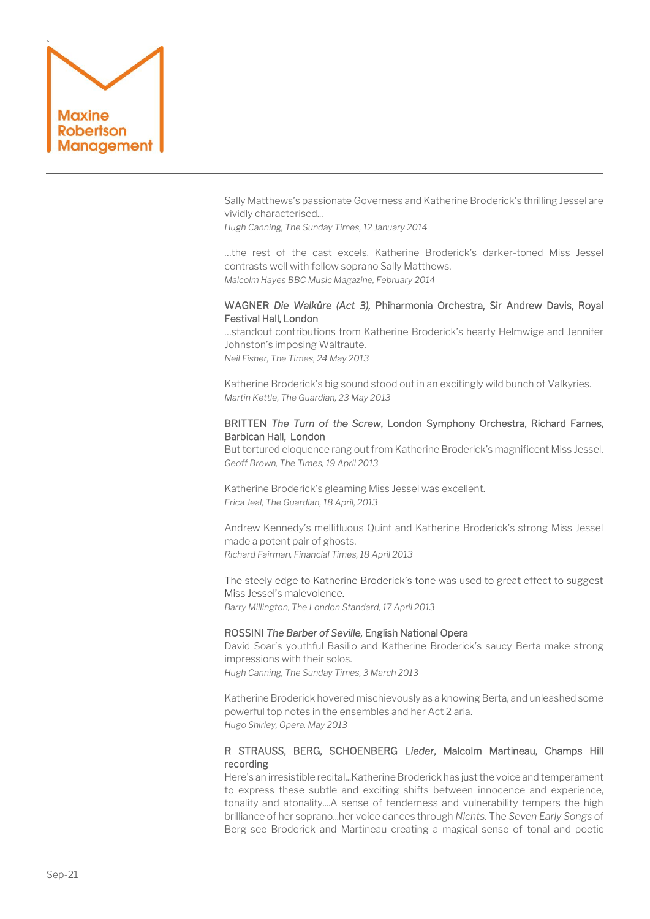

Sally Matthews's passionate Governess and Katherine Broderick's thrilling Jessel are vividly characterised...

*Hugh Canning, The Sunday Times, 12 January 2014*

…the rest of the cast excels. Katherine Broderick's darker-toned Miss Jessel contrasts well with fellow soprano Sally Matthews. *Malcolm Hayes BBC Music Magazine, February 2014*

# WAGNER *Die Walküre (Act 3),* Phiharmonia Orchestra, Sir Andrew Davis, Royal Festival Hall, London

…standout contributions from Katherine Broderick's hearty Helmwige and Jennifer Johnston's imposing Waltraute. *Neil Fisher, The Times, 24 May 2013*

Katherine Broderick's big sound stood out in an excitingly wild bunch of Valkyries. *Martin Kettle, The Guardian, 23 May 2013*

# BRITTEN *The Turn of the Screw*, London Symphony Orchestra, Richard Farnes, Barbican Hall, London

But tortured eloquence rang out from Katherine Broderick's magnificent Miss Jessel. *Geoff Brown, The Times, 19 April 2013*

Katherine Broderick's gleaming Miss Jessel was excellent. *Erica Jeal, The Guardian, 18 April, 2013*

Andrew Kennedy's mellifluous Quint and Katherine Broderick's strong Miss Jessel made a potent pair of ghosts. *Richard Fairman, Financial Times, 18 April 2013*

The steely edge to Katherine Broderick's tone was used to great effect to suggest Miss Jessel's malevolence. *Barry Millington, The London Standard, 17 April 2013*

## ROSSINI *The Barber of Seville,* English National Opera

David Soar's youthful Basilio and Katherine Broderick's saucy Berta make strong impressions with their solos. *Hugh Canning, The Sunday Times, 3 March 2013*

Katherine Broderick hovered mischievously as a knowing Berta, and unleashed some powerful top notes in the ensembles and her Act 2 aria. *Hugo Shirley, Opera, May 2013*

# R STRAUSS, BERG, SCHOENBERG *Lieder*, Malcolm Martineau, Champs Hill recording

Here's an irresistible recital...Katherine Broderick has just the voice and temperament to express these subtle and exciting shifts between innocence and experience, tonality and atonality....A sense of tenderness and vulnerability tempers the high brilliance of her soprano...her voice dances through *Nichts*. The *Seven Early Songs* of Berg see Broderick and Martineau creating a magical sense of tonal and poetic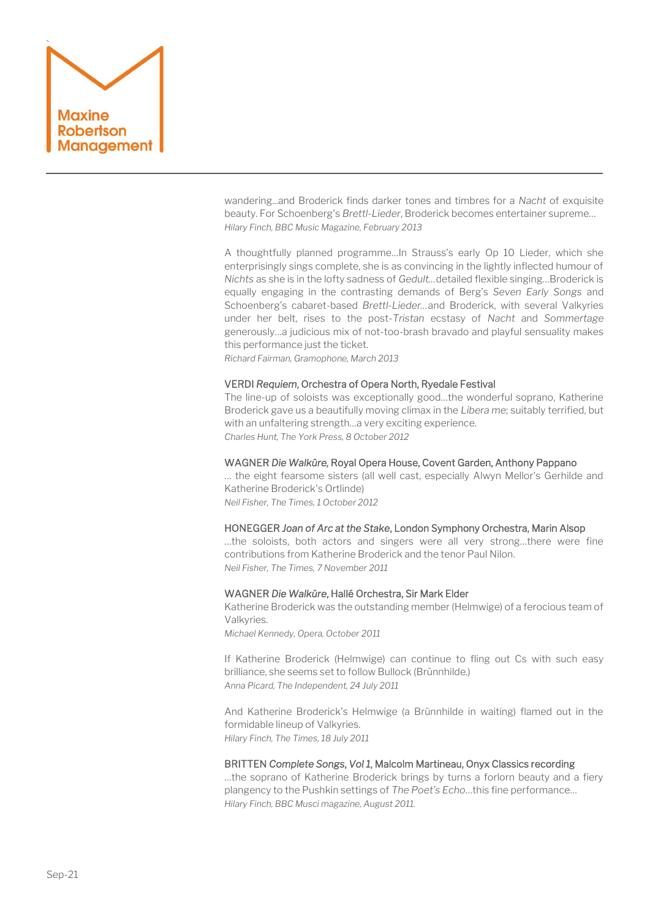

wandering...and Broderick finds darker tones and timbres for a *Nacht* of exquisite beauty. For Schoenberg's *Brettl-Lieder*, Broderick becomes entertainer supreme… *Hilary Finch, BBC Music Magazine, February 2013*

A thoughtfully planned programme…In Strauss's early Op 10 Lieder, which she enterprisingly sings complete, she is as convincing in the lightly inflected humour of *Nichts* as she is in the lofty sadness of *Gedult…*detailed flexible singing…Broderick is equally engaging in the contrasting demands of Berg's *Seven Early Songs* and Schoenberg's cabaret-based *Brettl-Lieder…*and Broderick, with several Valkyries under her belt, rises to the post-*Tristan* ecstasy of *Nacht* and *Sommertage* generously…a judicious mix of not-too-brash bravado and playful sensuality makes this performance just the ticket.

*Richard Fairman, Gramophone, March 2013*

## VERDI *Requiem*, Orchestra of Opera North, Ryedale Festival

The line-up of soloists was exceptionally good…the wonderful soprano, Katherine Broderick gave us a beautifully moving climax in the *Libera me*; suitably terrified, but with an unfaltering strength…a very exciting experience. *Charles Hunt, The York Press, 8 October 2012*

# WAGNER *Die Walküre,* Royal Opera House, Covent Garden, Anthony Pappano

… the eight fearsome sisters (all well cast, especially Alwyn Mellor's Gerhilde and Katherine Broderick's Ortlinde) *Neil Fisher, The Times, 1 October 2012*

#### HONEGGER *Joan of Arc at the Stake*, London Symphony Orchestra, Marin Alsop

…the soloists, both actors and singers were all very strong…there were fine contributions from Katherine Broderick and the tenor Paul Nilon. *Neil Fisher, The Times, 7 November 2011*

#### WAGNER *Die Walküre*, Hallé Orchestra, Sir Mark Elder

Katherine Broderick was the outstanding member (Helmwige) of a ferocious team of Valkyries.

*Michael Kennedy, Opera, October 2011*

If Katherine Broderick (Helmwige) can continue to fling out Cs with such easy brilliance, she seems set to follow Bullock (Brünnhilde.) *Anna Picard, The Independent, 24 July 2011*

And Katherine Broderick's Helmwige (a Brünnhilde in waiting) flamed out in the formidable lineup of Valkyries. *Hilary Finch, The Times, 18 July 2011*

#### BRITTEN *Complete Songs*, *Vol 1*, Malcolm Martineau, Onyx Classics recording

…the soprano of Katherine Broderick brings by turns a forlorn beauty and a fiery plangency to the Pushkin settings of *The Poet's Echo*…this fine performance… *Hilary Finch, BBC Musci magazine, August 2011.*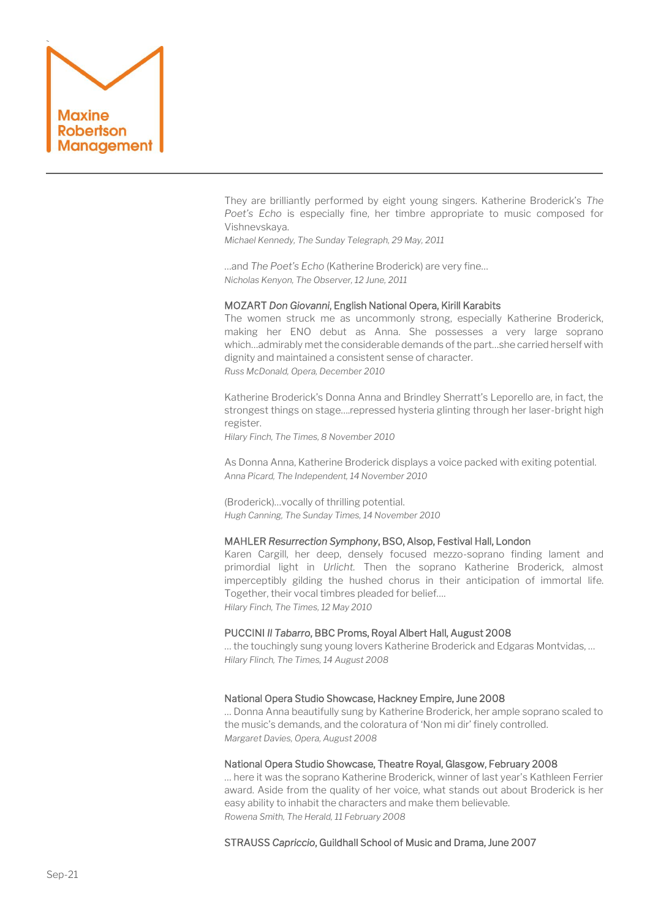

They are brilliantly performed by eight young singers. Katherine Broderick's *The Poet's Echo* is especially fine, her timbre appropriate to music composed for Vishnevskaya.

*Michael Kennedy, The Sunday Telegraph, 29 May, 2011*

…and *The Poet's Echo* (Katherine Broderick) are very fine… *Nicholas Kenyon, The Observer, 12 June, 2011*

# MOZART *Don Giovanni*, English National Opera, Kirill Karabits

The women struck me as uncommonly strong, especially Katherine Broderick, making her ENO debut as Anna. She possesses a very large soprano which…admirably met the considerable demands of the part…she carried herself with dignity and maintained a consistent sense of character. *Russ McDonald, Opera, December 2010*

Katherine Broderick's Donna Anna and Brindley Sherratt's Leporello are, in fact, the strongest things on stage….repressed hysteria glinting through her laser-bright high register.

*Hilary Finch, The Times, 8 November 2010*

As Donna Anna, Katherine Broderick displays a voice packed with exiting potential. *Anna Picard, The Independent, 14 November 2010*

(Broderick)…vocally of thrilling potential. *Hugh Canning, The Sunday Times, 14 November 2010*

#### MAHLER *Resurrection Symphony*, BSO, Alsop, Festival Hall, London

Karen Cargill, her deep, densely focused mezzo-soprano finding lament and primordial light in *Urlicht.* Then the soprano Katherine Broderick, almost imperceptibly gilding the hushed chorus in their anticipation of immortal life. Together, their vocal timbres pleaded for belief…. *Hilary Finch, The Times, 12 May 2010*

## PUCCINI *Il Tabarro*, BBC Proms, Royal Albert Hall, August 2008

… the touchingly sung young lovers Katherine Broderick and Edgaras Montvidas, … *Hilary Flinch, The Times, 14 August 2008*

## National Opera Studio Showcase, Hackney Empire, June 2008

… Donna Anna beautifully sung by Katherine Broderick, her ample soprano scaled to the music's demands, and the coloratura of 'Non mi dir' finely controlled. *Margaret Davies, Opera, August 2008*

#### National Opera Studio Showcase, Theatre Royal, Glasgow, February 2008

… here it was the soprano Katherine Broderick, winner of last year's Kathleen Ferrier award. Aside from the quality of her voice, what stands out about Broderick is her easy ability to inhabit the characters and make them believable. *Rowena Smith, The Herald, 11 February 2008*

## STRAUSS *Capriccio*, Guildhall School of Music and Drama, June 2007